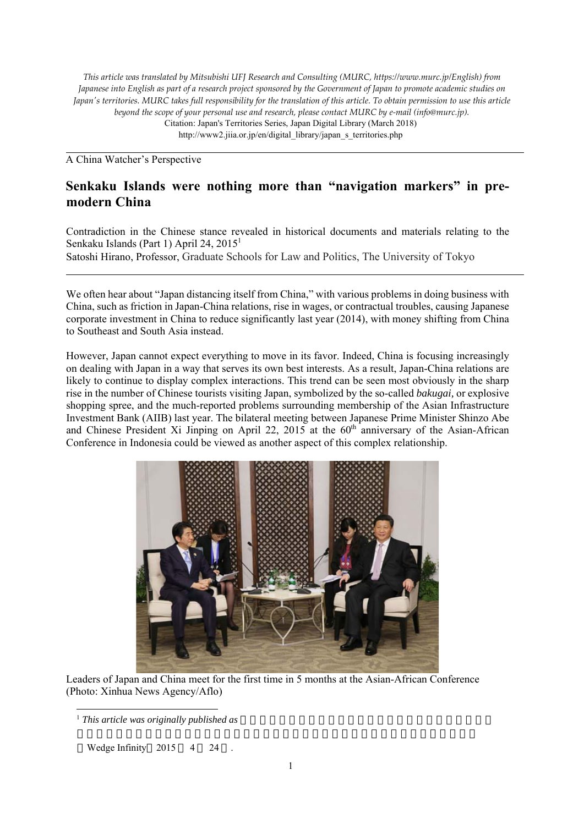*This article was translated by Mitsubishi UFJ Research and Consulting (MURC, https://www.murc.jp/English) from Japanese into English as part of a research project sponsored by the Government of Japan to promote academic studies on Japan's territories. MURC takes full responsibility for the translation of this article. To obtain permission to use this article beyond the scope of your personal use and research, please contact MURC by e-mail (info@murc.jp).* Citation: Japan's Territories Series, Japan Digital Library (March 2018) http://www2.jiia.or.jp/en/digital\_library/japan\_s\_territories.php

A China Watcher's Perspective

# **Senkaku Islands were nothing more than "navigation markers" in premodern China**

Contradiction in the Chinese stance revealed in historical documents and materials relating to the Senkaku Islands (Part 1) April 24, 2015<sup>1</sup> Satoshi Hirano, Professor, Graduate Schools for Law and Politics, The University of Tokyo

We often hear about "Japan distancing itself from China," with various problems in doing business with China, such as friction in Japan-China relations, rise in wages, or contractual troubles, causing Japanese corporate investment in China to reduce significantly last year (2014), with money shifting from China to Southeast and South Asia instead.

However, Japan cannot expect everything to move in its favor. Indeed, China is focusing increasingly on dealing with Japan in a way that serves its own best interests. As a result, Japan-China relations are likely to continue to display complex interactions. This trend can be seen most obviously in the sharp rise in the number of Chinese tourists visiting Japan, symbolized by the so-called *bakugai,* or explosive shopping spree, and the much-reported problems surrounding membership of the Asian Infrastructure Investment Bank (AIIB) last year. The bilateral meeting between Japanese Prime Minister Shinzo Abe and Chinese President Xi Jinping on April 22, 2015 at the  $60<sup>th</sup>$  anniversary of the Asian-African Conference in Indonesia could be viewed as another aspect of this complex relationship.



Leaders of Japan and China meet for the first time in 5 months at the Asian-African Conference (Photo: Xinhua News Agency/Aflo)

Wedge Infinity 2015 4 24

<sup>&</sup>lt;sup>1</sup> This article was originally published as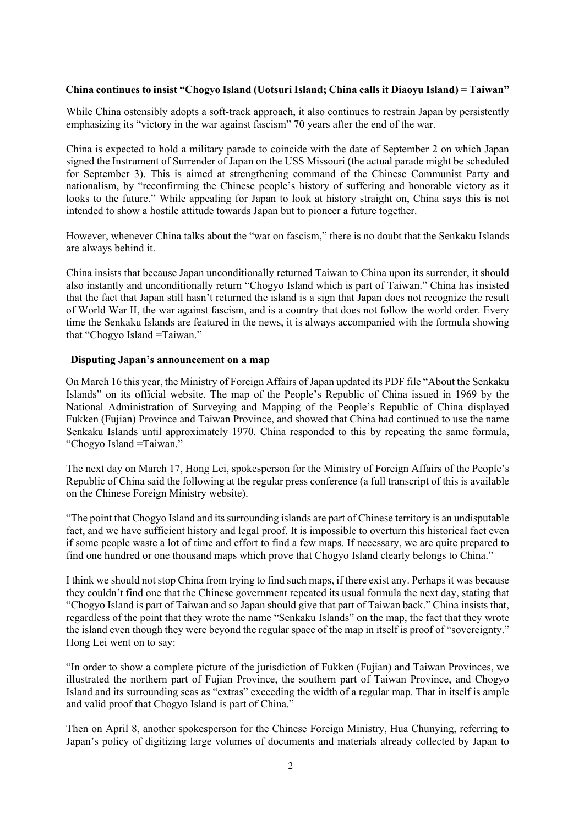## **China continues to insist "Chogyo Island (Uotsuri Island; China calls it Diaoyu Island) = Taiwan"**

While China ostensibly adopts a soft-track approach, it also continues to restrain Japan by persistently emphasizing its "victory in the war against fascism" 70 years after the end of the war.

China is expected to hold a military parade to coincide with the date of September 2 on which Japan signed the Instrument of Surrender of Japan on the USS Missouri (the actual parade might be scheduled for September 3). This is aimed at strengthening command of the Chinese Communist Party and nationalism, by "reconfirming the Chinese people's history of suffering and honorable victory as it looks to the future." While appealing for Japan to look at history straight on, China says this is not intended to show a hostile attitude towards Japan but to pioneer a future together.

However, whenever China talks about the "war on fascism," there is no doubt that the Senkaku Islands are always behind it.

China insists that because Japan unconditionally returned Taiwan to China upon its surrender, it should also instantly and unconditionally return "Chogyo Island which is part of Taiwan." China has insisted that the fact that Japan still hasn't returned the island is a sign that Japan does not recognize the result of World War II, the war against fascism, and is a country that does not follow the world order. Every time the Senkaku Islands are featured in the news, it is always accompanied with the formula showing that "Chogyo Island =Taiwan."

## **Disputing Japan's announcement on a map**

On March 16 this year, the Ministry of Foreign Affairs of Japan updated its PDF file "About the Senkaku Islands" on its official website. The map of the People's Republic of China issued in 1969 by the National Administration of Surveying and Mapping of the People's Republic of China displayed Fukken (Fujian) Province and Taiwan Province, and showed that China had continued to use the name Senkaku Islands until approximately 1970. China responded to this by repeating the same formula, "Chogyo Island =Taiwan."

The next day on March 17, Hong Lei, spokesperson for the Ministry of Foreign Affairs of the People's Republic of China said the following at the regular press conference (a full transcript of this is available on the Chinese Foreign Ministry website).

"The point that Chogyo Island and its surrounding islands are part of Chinese territory is an undisputable fact, and we have sufficient history and legal proof. It is impossible to overturn this historical fact even if some people waste a lot of time and effort to find a few maps. If necessary, we are quite prepared to find one hundred or one thousand maps which prove that Chogyo Island clearly belongs to China."

I think we should not stop China from trying to find such maps, if there exist any. Perhaps it was because they couldn't find one that the Chinese government repeated its usual formula the next day, stating that "Chogyo Island is part of Taiwan and so Japan should give that part of Taiwan back." China insists that, regardless of the point that they wrote the name "Senkaku Islands" on the map, the fact that they wrote the island even though they were beyond the regular space of the map in itself is proof of "sovereignty." Hong Lei went on to say:

"In order to show a complete picture of the jurisdiction of Fukken (Fujian) and Taiwan Provinces, we illustrated the northern part of Fujian Province, the southern part of Taiwan Province, and Chogyo Island and its surrounding seas as "extras" exceeding the width of a regular map. That in itself is ample and valid proof that Chogyo Island is part of China."

Then on April 8, another spokesperson for the Chinese Foreign Ministry, Hua Chunying, referring to Japan's policy of digitizing large volumes of documents and materials already collected by Japan to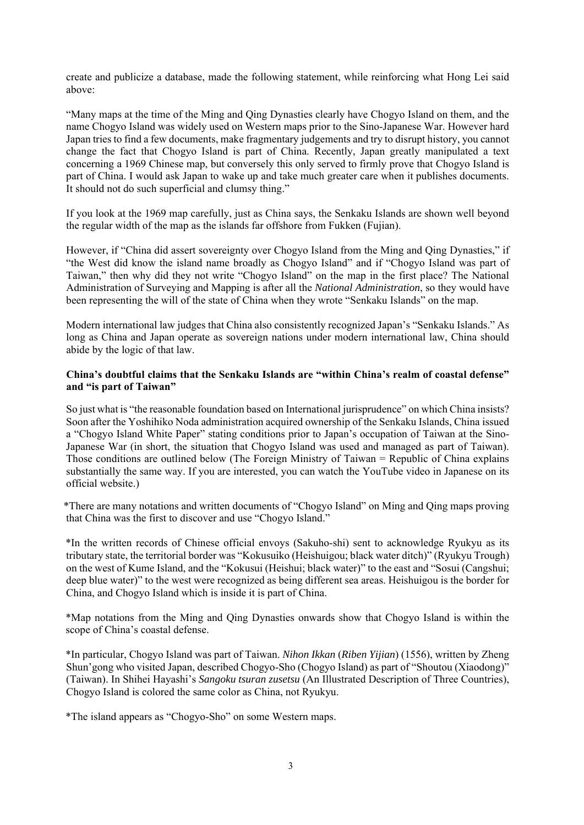create and publicize a database, made the following statement, while reinforcing what Hong Lei said above:

"Many maps at the time of the Ming and Qing Dynasties clearly have Chogyo Island on them, and the name Chogyo Island was widely used on Western maps prior to the Sino-Japanese War. However hard Japan tries to find a few documents, make fragmentary judgements and try to disrupt history, you cannot change the fact that Chogyo Island is part of China. Recently, Japan greatly manipulated a text concerning a 1969 Chinese map, but conversely this only served to firmly prove that Chogyo Island is part of China. I would ask Japan to wake up and take much greater care when it publishes documents. It should not do such superficial and clumsy thing."

If you look at the 1969 map carefully, just as China says, the Senkaku Islands are shown well beyond the regular width of the map as the islands far offshore from Fukken (Fujian).

However, if "China did assert sovereignty over Chogyo Island from the Ming and Qing Dynasties," if "the West did know the island name broadly as Chogyo Island" and if "Chogyo Island was part of Taiwan," then why did they not write "Chogyo Island" on the map in the first place? The National Administration of Surveying and Mapping is after all the *National Administration*, so they would have been representing the will of the state of China when they wrote "Senkaku Islands" on the map.

Modern international law judges that China also consistently recognized Japan's "Senkaku Islands." As long as China and Japan operate as sovereign nations under modern international law, China should abide by the logic of that law.

#### **China's doubtful claims that the Senkaku Islands are "within China's realm of coastal defense" and "is part of Taiwan"**

So just what is "the reasonable foundation based on International jurisprudence" on which China insists? Soon after the Yoshihiko Noda administration acquired ownership of the Senkaku Islands, China issued a "Chogyo Island White Paper" stating conditions prior to Japan's occupation of Taiwan at the Sino-Japanese War (in short, the situation that Chogyo Island was used and managed as part of Taiwan). Those conditions are outlined below (The Foreign Ministry of Taiwan = Republic of China explains substantially the same way. If you are interested, you can watch the YouTube video in Japanese on its official website.)

\*There are many notations and written documents of "Chogyo Island" on Ming and Qing maps proving that China was the first to discover and use "Chogyo Island."

\*In the written records of Chinese official envoys (Sakuho-shi) sent to acknowledge Ryukyu as its tributary state, the territorial border was "Kokusuiko (Heishuigou; black water ditch)" (Ryukyu Trough) on the west of Kume Island, and the "Kokusui (Heishui; black water)" to the east and "Sosui (Cangshui; deep blue water)" to the west were recognized as being different sea areas. Heishuigou is the border for China, and Chogyo Island which is inside it is part of China.

\*Map notations from the Ming and Qing Dynasties onwards show that Chogyo Island is within the scope of China's coastal defense.

\*In particular, Chogyo Island was part of Taiwan. *Nihon Ikkan* (*Riben Yijian*) (1556), written by Zheng Shun'gong who visited Japan, described Chogyo-Sho (Chogyo Island) as part of "Shoutou (Xiaodong)" (Taiwan). In Shihei Hayashi's *Sangoku tsuran zusetsu* (An Illustrated Description of Three Countries), Chogyo Island is colored the same color as China, not Ryukyu.

\*The island appears as "Chogyo-Sho" on some Western maps.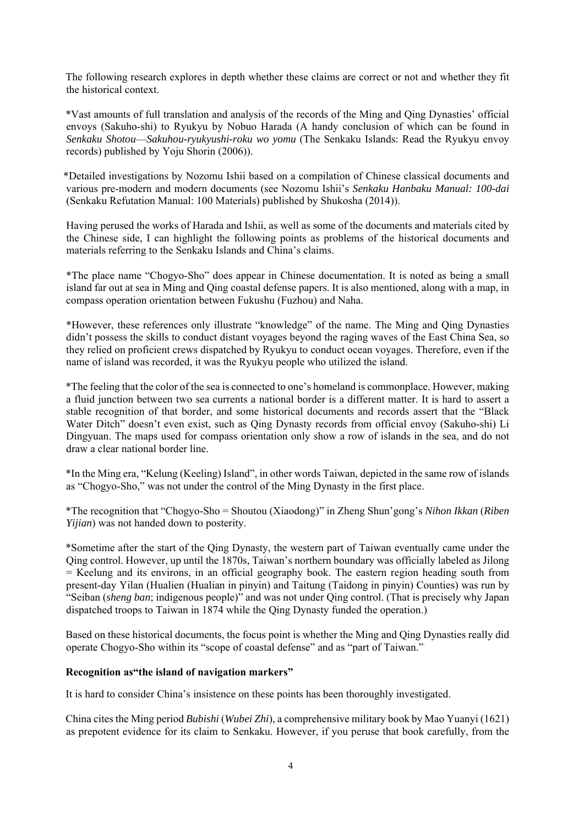The following research explores in depth whether these claims are correct or not and whether they fit the historical context.

\*Vast amounts of full translation and analysis of the records of the Ming and Qing Dynasties' official envoys (Sakuho-shi) to Ryukyu by Nobuo Harada (A handy conclusion of which can be found in *Senkaku Shotou*—*Sakuhou-ryukyushi-roku wo yomu* (The Senkaku Islands: Read the Ryukyu envoy records) published by Yoju Shorin (2006)).

\*Detailed investigations by Nozomu Ishii based on a compilation of Chinese classical documents and various pre-modern and modern documents (see Nozomu Ishii's *Senkaku Hanbaku Manual: 100-dai* (Senkaku Refutation Manual: 100 Materials) published by Shukosha (2014)).

Having perused the works of Harada and Ishii, as well as some of the documents and materials cited by the Chinese side, I can highlight the following points as problems of the historical documents and materials referring to the Senkaku Islands and China's claims.

\*The place name "Chogyo-Sho" does appear in Chinese documentation. It is noted as being a small island far out at sea in Ming and Qing coastal defense papers. It is also mentioned, along with a map, in compass operation orientation between Fukushu (Fuzhou) and Naha.

\*However, these references only illustrate "knowledge" of the name. The Ming and Qing Dynasties didn't possess the skills to conduct distant voyages beyond the raging waves of the East China Sea, so they relied on proficient crews dispatched by Ryukyu to conduct ocean voyages. Therefore, even if the name of island was recorded, it was the Ryukyu people who utilized the island.

\*The feeling that the color of the sea is connected to one's homeland is commonplace. However, making a fluid junction between two sea currents a national border is a different matter. It is hard to assert a stable recognition of that border, and some historical documents and records assert that the "Black Water Ditch" doesn't even exist, such as Qing Dynasty records from official envoy (Sakuho-shi) Li Dingyuan. The maps used for compass orientation only show a row of islands in the sea, and do not draw a clear national border line.

\*In the Ming era, "Kelung (Keeling) Island", in other words Taiwan, depicted in the same row of islands as "Chogyo-Sho," was not under the control of the Ming Dynasty in the first place.

\*The recognition that "Chogyo-Sho = Shoutou (Xiaodong)" in Zheng Shun'gong's *Nihon Ikkan* (*Riben Yijian*) was not handed down to posterity.

\*Sometime after the start of the Qing Dynasty, the western part of Taiwan eventually came under the Qing control. However, up until the 1870s, Taiwan's northern boundary was officially labeled as Jilong = Keelung and its environs, in an official geography book. The eastern region heading south from present-day Yilan (Hualien (Hualian in pinyin) and Taitung (Taidong in pinyin) Counties) was run by "Seiban (*sheng ban*; indigenous people)" and was not under Qing control. (That is precisely why Japan dispatched troops to Taiwan in 1874 while the Oing Dynasty funded the operation.)

Based on these historical documents, the focus point is whether the Ming and Qing Dynasties really did operate Chogyo-Sho within its "scope of coastal defense" and as "part of Taiwan."

## **Recognition as"the island of navigation markers"**

It is hard to consider China's insistence on these points has been thoroughly investigated.

China cites the Ming period *Bubishi* (*Wubei Zhi*), a comprehensive military book by Mao Yuanyi (1621) as prepotent evidence for its claim to Senkaku. However, if you peruse that book carefully, from the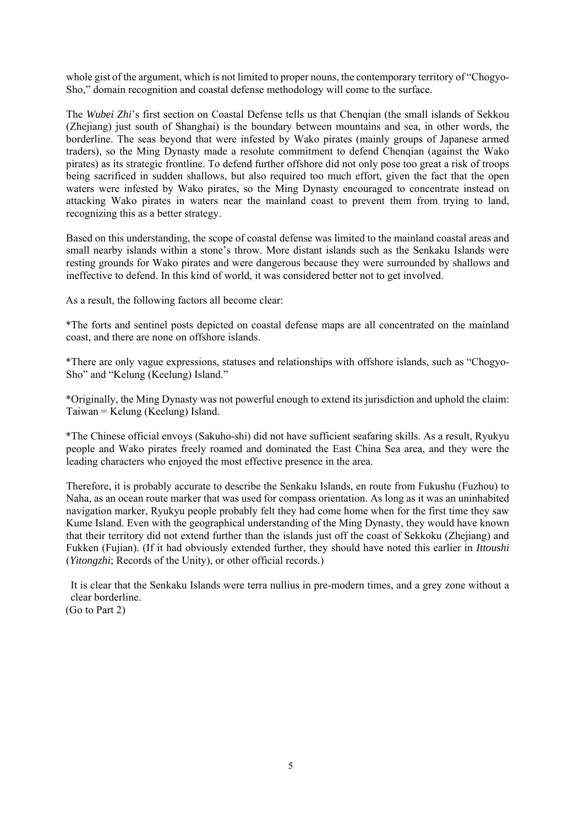whole gist of the argument, which is not limited to proper nouns, the contemporary territory of "Chogyo-Sho," domain recognition and coastal defense methodology will come to the surface.

The *Wubei Zhi*'s first section on Coastal Defense tells us that Chenqian (the small islands of Sekkou (Zhejiang) just south of Shanghai) is the boundary between mountains and sea, in other words, the borderline. The seas beyond that were infested by Wako pirates (mainly groups of Japanese armed traders), so the Ming Dynasty made a resolute commitment to defend Chenqian (against the Wako pirates) as its strategic frontline. To defend further offshore did not only pose too great a risk of troops being sacrificed in sudden shallows, but also required too much effort, given the fact that the open waters were infested by Wako pirates, so the Ming Dynasty encouraged to concentrate instead on attacking Wako pirates in waters near the mainland coast to prevent them from trying to land, recognizing this as a better strategy.

Based on this understanding, the scope of coastal defense was limited to the mainland coastal areas and small nearby islands within a stone's throw. More distant islands such as the Senkaku Islands were resting grounds for Wako pirates and were dangerous because they were surrounded by shallows and ineffective to defend. In this kind of world, it was considered better not to get involved.

As a result, the following factors all become clear:

\*The forts and sentinel posts depicted on coastal defense maps are all concentrated on the mainland coast, and there are none on offshore islands.

\*There are only vague expressions, statuses and relationships with offshore islands, such as "Chogyo-Sho" and "Kelung (Keelung) Island."

\*Originally, the Ming Dynasty was not powerful enough to extend its jurisdiction and uphold the claim: Taiwan = Kelung (Keelung) Island.

\*The Chinese official envoys (Sakuho-shi) did not have sufficient seafaring skills. As a result, Ryukyu people and Wako pirates freely roamed and dominated the East China Sea area, and they were the leading characters who enjoyed the most effective presence in the area.

Therefore, it is probably accurate to describe the Senkaku Islands, en route from Fukushu (Fuzhou) to Naha, as an ocean route marker that was used for compass orientation. As long as it was an uninhabited navigation marker, Ryukyu people probably felt they had come home when for the first time they saw Kume Island. Even with the geographical understanding of the Ming Dynasty, they would have known that their territory did not extend further than the islands just off the coast of Sekkoku (Zhejiang) and Fukken (Fujian). (If it had obviously extended further, they should have noted this earlier in *Ittoushi* (*Yitongzhi*; Records of the Unity), or other official records.)

It is clear that the Senkaku Islands were terra nullius in pre-modern times, and a grey zone without a clear borderline. (Go to Part 2)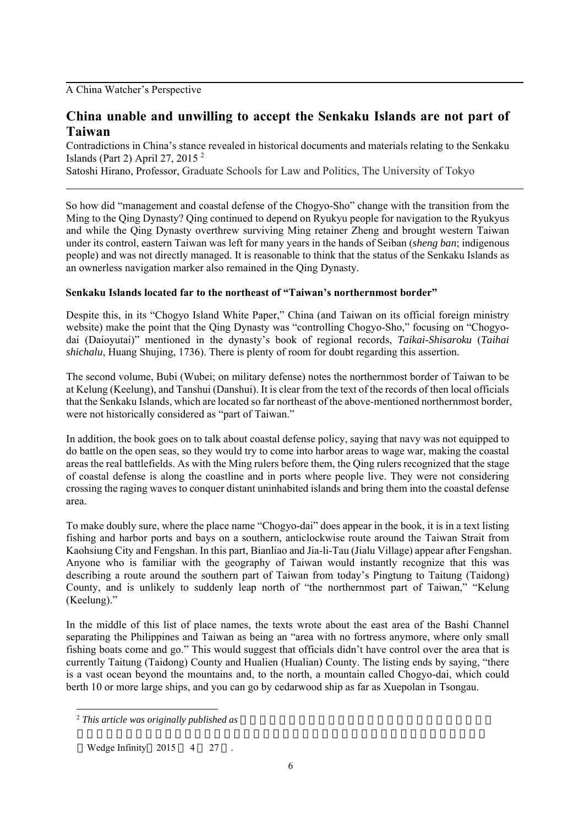## A China Watcher's Perspective

# **China unable and unwilling to accept the Senkaku Islands are not part of Taiwan**

Contradictions in China's stance revealed in historical documents and materials relating to the Senkaku Islands (Part 2) April 27, 2015 2

Satoshi Hirano, Professor, Graduate Schools for Law and Politics, The University of Tokyo

So how did "management and coastal defense of the Chogyo-Sho" change with the transition from the Ming to the Qing Dynasty? Qing continued to depend on Ryukyu people for navigation to the Ryukyus and while the Qing Dynasty overthrew surviving Ming retainer Zheng and brought western Taiwan under its control, eastern Taiwan was left for many years in the hands of Seiban (*sheng ban*; indigenous people) and was not directly managed. It is reasonable to think that the status of the Senkaku Islands as an ownerless navigation marker also remained in the Qing Dynasty.

#### **Senkaku Islands located far to the northeast of "Taiwan's northernmost border"**

Despite this, in its "Chogyo Island White Paper," China (and Taiwan on its official foreign ministry website) make the point that the Qing Dynasty was "controlling Chogyo-Sho," focusing on "Chogyodai (Daioyutai)" mentioned in the dynasty's book of regional records, *Taikai-Shisaroku* (*Taihai shichalu*, Huang Shujing, 1736). There is plenty of room for doubt regarding this assertion.

The second volume, Bubi (Wubei; on military defense) notes the northernmost border of Taiwan to be at Kelung (Keelung), and Tanshui (Danshui). It is clear from the text of the records of then local officials that the Senkaku Islands, which are located so far northeast of the above-mentioned northernmost border, were not historically considered as "part of Taiwan."

In addition, the book goes on to talk about coastal defense policy, saying that navy was not equipped to do battle on the open seas, so they would try to come into harbor areas to wage war, making the coastal areas the real battlefields. As with the Ming rulers before them, the Qing rulers recognized that the stage of coastal defense is along the coastline and in ports where people live. They were not considering crossing the raging waves to conquer distant uninhabited islands and bring them into the coastal defense area.

To make doubly sure, where the place name "Chogyo-dai" does appear in the book, it is in a text listing fishing and harbor ports and bays on a southern, anticlockwise route around the Taiwan Strait from Kaohsiung City and Fengshan. In this part, Bianliao and Jia-li-Tau (Jialu Village) appear after Fengshan. Anyone who is familiar with the geography of Taiwan would instantly recognize that this was describing a route around the southern part of Taiwan from today's Pingtung to Taitung (Taidong) County, and is unlikely to suddenly leap north of "the northernmost part of Taiwan," "Kelung (Keelung)."

In the middle of this list of place names, the texts wrote about the east area of the Bashi Channel separating the Philippines and Taiwan as being an "area with no fortress anymore, where only small fishing boats come and go." This would suggest that officials didn't have control over the area that is currently Taitung (Taidong) County and Hualien (Hualian) County. The listing ends by saying, "there is a vast ocean beyond the mountains and, to the north, a mountain called Chogyo-dai, which could berth 10 or more large ships, and you can go by cedarwood ship as far as Xuepolan in Tsongau.

<sup>&</sup>lt;sup>2</sup> This article was originally published as

Wedge Infinity 2015 4 27.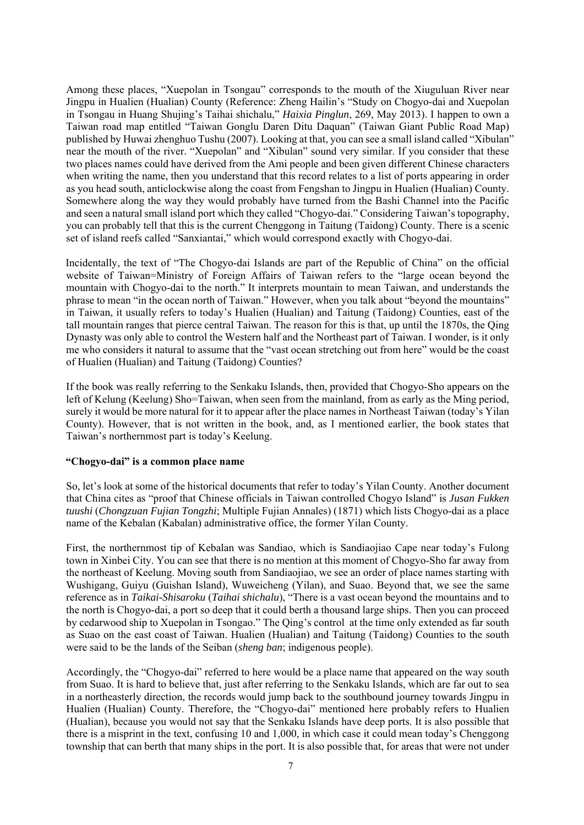Among these places, "Xuepolan in Tsongau" corresponds to the mouth of the Xiuguluan River near Jingpu in Hualien (Hualian) County (Reference: Zheng Hailin's "Study on Chogyo-dai and Xuepolan in Tsongau in Huang Shujing's Taihai shichalu," *Haixia Pinglun*, 269, May 2013). I happen to own a Taiwan road map entitled "Taiwan Gonglu Daren Ditu Daquan" (Taiwan Giant Public Road Map) published by Huwai zhenghuo Tushu (2007). Looking at that, you can see a small island called "Xibulan" near the mouth of the river. "Xuepolan" and "Xibulan" sound very similar. If you consider that these two places names could have derived from the Ami people and been given different Chinese characters when writing the name, then you understand that this record relates to a list of ports appearing in order as you head south, anticlockwise along the coast from Fengshan to Jingpu in Hualien (Hualian) County. Somewhere along the way they would probably have turned from the Bashi Channel into the Pacific and seen a natural small island port which they called "Chogyo-dai." Considering Taiwan's topography, you can probably tell that this is the current Chenggong in Taitung (Taidong) County. There is a scenic set of island reefs called "Sanxiantai," which would correspond exactly with Chogyo-dai.

Incidentally, the text of "The Chogyo-dai Islands are part of the Republic of China" on the official website of Taiwan=Ministry of Foreign Affairs of Taiwan refers to the "large ocean beyond the mountain with Chogyo-dai to the north." It interprets mountain to mean Taiwan, and understands the phrase to mean "in the ocean north of Taiwan." However, when you talk about "beyond the mountains" in Taiwan, it usually refers to today's Hualien (Hualian) and Taitung (Taidong) Counties, east of the tall mountain ranges that pierce central Taiwan. The reason for this is that, up until the 1870s, the Qing Dynasty was only able to control the Western half and the Northeast part of Taiwan. I wonder, is it only me who considers it natural to assume that the "vast ocean stretching out from here" would be the coast of Hualien (Hualian) and Taitung (Taidong) Counties?

If the book was really referring to the Senkaku Islands, then, provided that Chogyo-Sho appears on the left of Kelung (Keelung) Sho=Taiwan, when seen from the mainland, from as early as the Ming period, surely it would be more natural for it to appear after the place names in Northeast Taiwan (today's Yilan County). However, that is not written in the book, and, as I mentioned earlier, the book states that Taiwan's northernmost part is today's Keelung.

#### **"Chogyo-dai" is a common place name**

So, let's look at some of the historical documents that refer to today's Yilan County. Another document that China cites as "proof that Chinese officials in Taiwan controlled Chogyo Island" is *Jusan Fukken tuushi* (*Chongzuan Fujian Tongzhi*; Multiple Fujian Annales) (1871) which lists Chogyo-dai as a place name of the Kebalan (Kabalan) administrative office, the former Yilan County.

First, the northernmost tip of Kebalan was Sandiao, which is Sandiaojiao Cape near today's Fulong town in Xinbei City. You can see that there is no mention at this moment of Chogyo-Sho far away from the northeast of Keelung. Moving south from Sandiaojiao, we see an order of place names starting with Wushigang, Guiyu (Guishan Island), Wuweicheng (Yilan), and Suao. Beyond that, we see the same reference as in *Taikai-Shisaroku* (*Taihai shichalu*), "There is a vast ocean beyond the mountains and to the north is Chogyo-dai, a port so deep that it could berth a thousand large ships. Then you can proceed by cedarwood ship to Xuepolan in Tsongao." The Qing's control at the time only extended as far south as Suao on the east coast of Taiwan. Hualien (Hualian) and Taitung (Taidong) Counties to the south were said to be the lands of the Seiban (*sheng ban*; indigenous people).

Accordingly, the "Chogyo-dai" referred to here would be a place name that appeared on the way south from Suao. It is hard to believe that, just after referring to the Senkaku Islands, which are far out to sea in a northeasterly direction, the records would jump back to the southbound journey towards Jingpu in Hualien (Hualian) County. Therefore, the "Chogyo-dai" mentioned here probably refers to Hualien (Hualian), because you would not say that the Senkaku Islands have deep ports. It is also possible that there is a misprint in the text, confusing 10 and 1,000, in which case it could mean today's Chenggong township that can berth that many ships in the port. It is also possible that, for areas that were not under